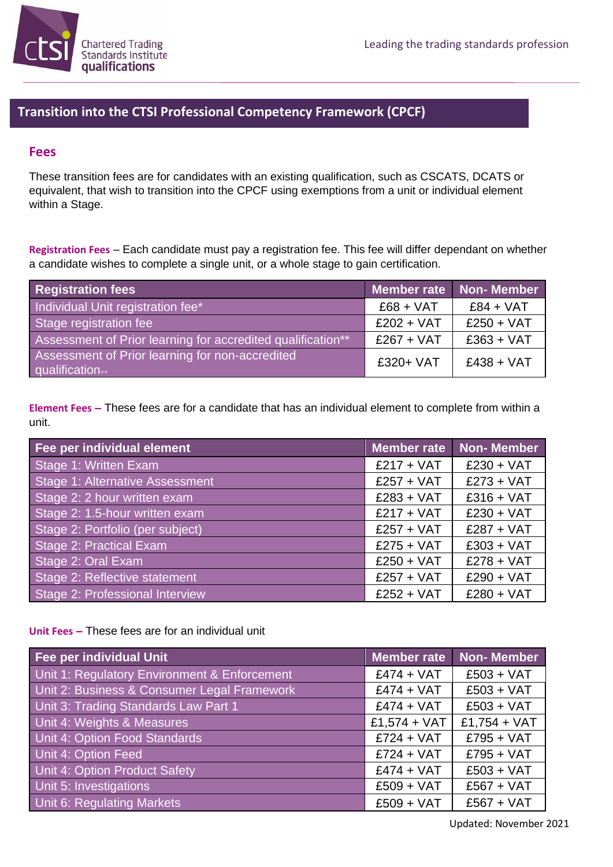

# **Transition into the CTSI Professional Competency Framework (CPCF)**

### **Fees**

These transition fees are for candidates with an existing qualification, such as CSCATS, DCATS or equivalent, that wish to transition into the CPCF using exemptions from a unit or individual element within a Stage.

**Registration Fees** – Each candidate must pay a registration fee. This fee will differ dependant on whether a candidate wishes to complete a single unit, or a whole stage to gain certification.

| <b>Registration fees</b>                                           |              | Member rate Non-Member |
|--------------------------------------------------------------------|--------------|------------------------|
| Individual Unit registration fee*                                  | $£68 + VAT$  | $£84 + VAT$            |
| Stage registration fee                                             | $£202 + VAT$ | $£250 + VAT$           |
| Assessment of Prior learning for accredited qualification**        | $£267 + VAT$ | $£363 + VAT$           |
| Assessment of Prior learning for non-accredited<br>qualification++ | £320+ VAT    | $£438 + VAT$           |

**Element Fees –** These fees are for a candidate that has an individual element to complete from within a unit.

| Fee per individual element             | Member rate  | <b>Non-Member</b> |
|----------------------------------------|--------------|-------------------|
| Stage 1: Written Exam                  | $£217 + VAT$ | $£230 + VAT$      |
| <b>Stage 1: Alternative Assessment</b> | $£257 + VAT$ | $£273 + VAT$      |
| Stage 2: 2 hour written exam           | $£283 + VAT$ | $£316 + VAT$      |
| Stage 2: 1.5-hour written exam         | $£217 + VAT$ | $£230 + VAT$      |
| Stage 2: Portfolio (per subject)       | $£257 + VAT$ | $£287 + VAT$      |
| Stage 2: Practical Exam                | $£275 + VAT$ | $£303 + VAT$      |
| Stage 2: Oral Exam                     | $£250 + VAT$ | $£278 + VAT$      |
| Stage 2: Reflective statement          | $£257 + VAT$ | $£290 + VAT$      |
| Stage 2: Professional Interview        | $£252 + VAT$ | $£280 + VAT$      |

#### **Unit Fees –** These fees are for an individual unit

| Fee per individual Unit                      | <b>Member rate</b> | <b>Non-Member</b> |
|----------------------------------------------|--------------------|-------------------|
| Unit 1: Regulatory Environment & Enforcement | $£474 + VAT$       | $£503 + VAT$      |
| Unit 2: Business & Consumer Legal Framework  | $£474 + VAT$       | $£503 + VAT$      |
| Unit 3: Trading Standards Law Part 1         | $£474 + VAT$       | $£503 + VAT$      |
| Unit 4: Weights & Measures                   | £1,574 + $VAT$     | £1,754 + VAT      |
| Unit 4: Option Food Standards                | $£724 + VAT$       | $£795 + VAT$      |
| Unit 4: Option Feed                          | $£724 + VAT$       | $£795 + VAT$      |
| Unit 4: Option Product Safety                | $£474 + VAT$       | $£503 + VAT$      |
| Unit 5: Investigations                       | $£509 + VAT$       | $£567 + VAT$      |
| Unit 6: Regulating Markets                   | $£509 + VAT$       | $£567 + VAT$      |